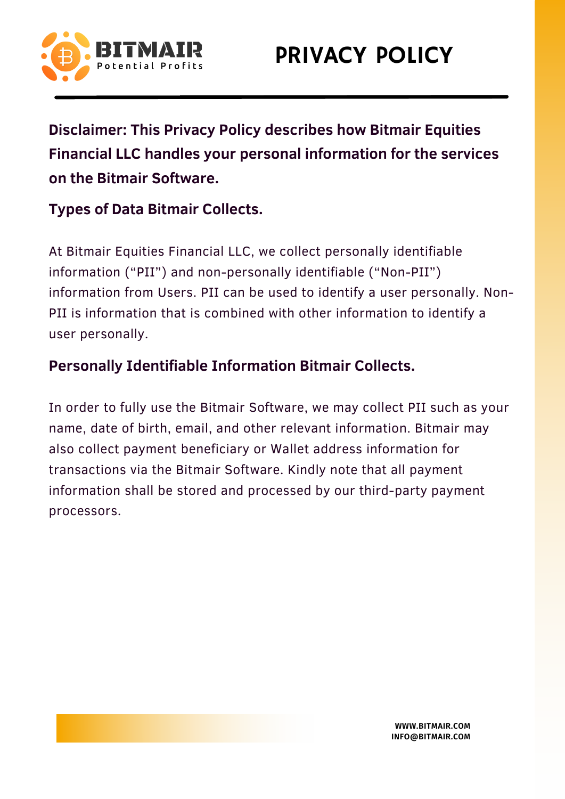

**Disclaimer: This Privacy Policy describes how Bitmair Equities Financial LLC handles your personal information for the services on the Bitmair Software.**

## **Types of Data Bitmair Collects.**

At Bitmair Equities Financial LLC, we collect personally identifiable information ("PII") and non-personally identifiable ("Non-PII") information from Users. PII can be used to identify a user personally. Non-PII is information that is combined with other information to identify a user personally.

## **Personally Identifiable Information Bitmair Collects.**

In order to fully use the Bitmair Software, we may collect PII such as your name, date of birth, email, and other relevant information. Bitmair may also collect payment beneficiary or Wallet address information for transactions via the Bitmair Software. Kindly note that all payment information shall be stored and processed by our third-party payment processors.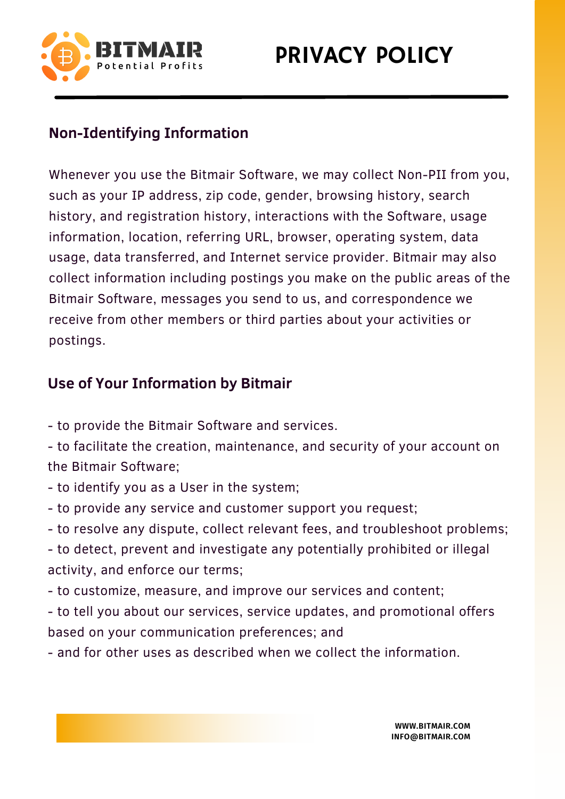

# PRIVACY POLICY

## **Non-Identifying Information**

Whenever you use the Bitmair Software, we may collect Non-PII from you, such as your IP address, zip code, gender, browsing history, search history, and registration history, interactions with the Software, usage information, location, referring URL, browser, operating system, data usage, data transferred, and Internet service provider. Bitmair may also collect information including postings you make on the public areas of the Bitmair Software, messages you send to us, and correspondence we receive from other members or third parties about your activities or postings.

#### **Use of Your Information by Bitmair**

- to provide the Bitmair Software and services.

- to facilitate the creation, maintenance, and security of your account on the Bitmair Software;

- to identify you as a User in the system;
- to provide any service and customer support you request;
- to resolve any dispute, collect relevant fees, and troubleshoot problems;

- to detect, prevent and investigate any potentially prohibited or illegal activity, and enforce our terms;

- to customize, measure, and improve our services and content;

- to tell you about our services, service updates, and promotional offers based on your communication preferences; and

- and for other uses as described when we collect the information.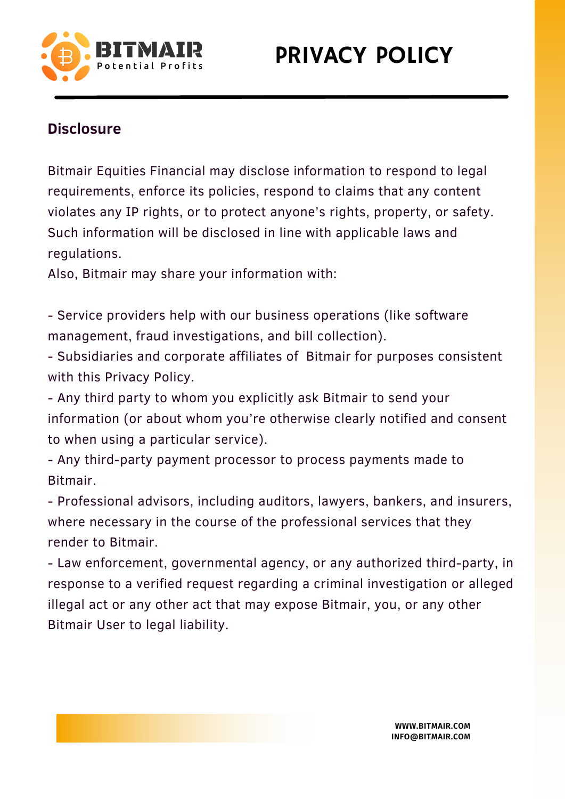

### **Disclosure**

Bitmair Equities Financial may disclose information to respond to legal requirements, enforce its policies, respond to claims that any content violates any IP rights, or to protect anyone's rights, property, or safety. Such information will be disclosed in line with applicable laws and regulations.

Also, Bitmair may share your information with:

- Service providers help with our business operations (like software management, fraud investigations, and bill collection).

- Subsidiaries and corporate affiliates of Bitmair for purposes consistent with this Privacy Policy.

- Any third party to whom you explicitly ask Bitmair to send your information (or about whom you're otherwise clearly notified and consent to when using a particular service).

- Any third-party payment processor to process payments made to Bitmair.

- Professional advisors, including auditors, lawyers, bankers, and insurers, where necessary in the course of the professional services that they render to Bitmair.

- Law enforcement, governmental agency, or any authorized third-party, in response to a verified request regarding a criminal investigation or alleged illegal act or any other act that may expose Bitmair, you, or any other Bitmair User to legal liability.